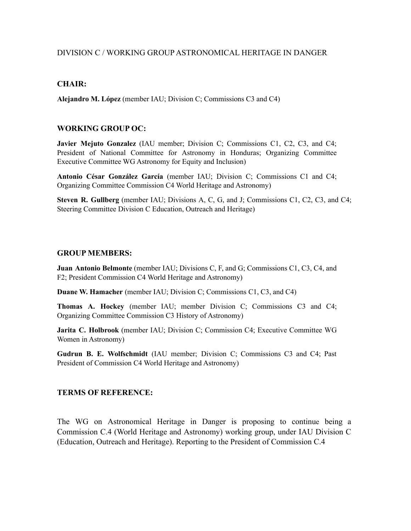## DIVISION C / WORKING GROUP ASTRONOMICAL HERITAGE IN DANGER

#### **CHAIR:**

**Alejandro M. López** (member IAU; Division C; Commissions C3 and C4)

## **WORKING GROUP OC:**

**Javier Mejuto Gonzalez** (IAU member; Division C; Commissions C1, C2, C3, and C4; President of National Committee for Astronomy in Honduras; Organizing Committee Executive Committee WG Astronomy for Equity and Inclusion)

**Antonio César González García** (member IAU; Division C; Commissions C1 and C4; Organizing Committee Commission C4 World Heritage and Astronomy)

**Steven R. Gullberg** (member IAU; Divisions A, C, G, and J; Commissions C1, C2, C3, and C4; Steering Committee Division C Education, Outreach and Heritage)

#### **GROUP MEMBERS:**

**Juan Antonio Belmonte** (member IAU; Divisions C, F, and G; Commissions C1, C3, C4, and F2; President Commission C4 World Heritage and Astronomy)

**Duane W. Hamacher** (member IAU; Division C; Commissions C1, C3, and C4)

**Thomas A. Hockey** (member IAU; member Division C; Commissions C3 and C4; Organizing Committee Commission C3 History of Astronomy)

**Jarita C. Holbrook** (member IAU; Division C; Commission C4; Executive Committee WG Women in Astronomy)

**Gudrun B. E. Wolfschmidt** (IAU member; Division C; Commissions C3 and C4; Past President of Commission C4 World Heritage and Astronomy)

## **TERMS OF REFERENCE:**

The WG on Astronomical Heritage in Danger is proposing to continue being a Commission C.4 (World Heritage and Astronomy) working group, under IAU Division C (Education, Outreach and Heritage). Reporting to the President of Commission C.4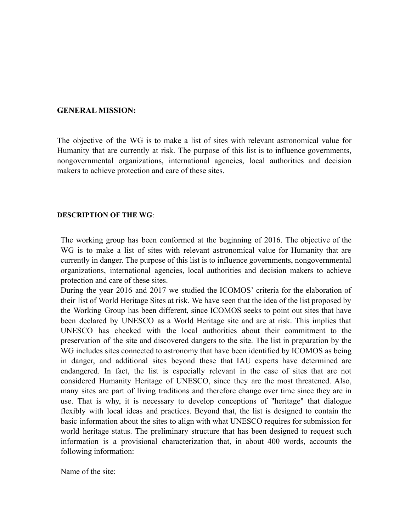#### **GENERAL MISSION:**

The objective of the WG is to make a list of sites with relevant astronomical value for Humanity that are currently at risk. The purpose of this list is to influence governments, nongovernmental organizations, international agencies, local authorities and decision makers to achieve protection and care of these sites.

#### **DESCRIPTION OF THE WG**:

The working group has been conformed at the beginning of 2016. The objective of the WG is to make a list of sites with relevant astronomical value for Humanity that are currently in danger. The purpose of this list is to influence governments, nongovernmental organizations, international agencies, local authorities and decision makers to achieve protection and care of these sites.

During the year 2016 and 2017 we studied the ICOMOS' criteria for the elaboration of their list of World Heritage Sites at risk. We have seen that the idea of the list proposed by the Working Group has been different, since ICOMOS seeks to point out sites that have been declared by UNESCO as a World Heritage site and are at risk. This implies that UNESCO has checked with the local authorities about their commitment to the preservation of the site and discovered dangers to the site. The list in preparation by the WG includes sites connected to astronomy that have been identified by ICOMOS as being in danger, and additional sites beyond these that IAU experts have determined are endangered. In fact, the list is especially relevant in the case of sites that are not considered Humanity Heritage of UNESCO, since they are the most threatened. Also, many sites are part of living traditions and therefore change over time since they are in use. That is why, it is necessary to develop conceptions of "heritage" that dialogue flexibly with local ideas and practices. Beyond that, the list is designed to contain the basic information about the sites to align with what UNESCO requires for submission for world heritage status. The preliminary structure that has been designed to request such information is a provisional characterization that, in about 400 words, accounts the following information:

Name of the site: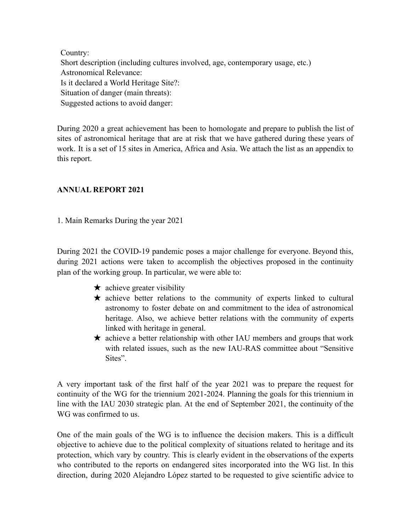Country: Short description (including cultures involved, age, contemporary usage, etc.) Astronomical Relevance: Is it declared a World Heritage Site?: Situation of danger (main threats): Suggested actions to avoid danger:

During 2020 a great achievement has been to homologate and prepare to publish the list of sites of astronomical heritage that are at risk that we have gathered during these years of work. It is a set of 15 sites in America, Africa and Asia. We attach the list as an appendix to this report.

## **ANNUAL REPORT 2021**

1. Main Remarks During the year 2021

During 2021 the COVID-19 pandemic poses a major challenge for everyone. Beyond this, during 2021 actions were taken to accomplish the objectives proposed in the continuity plan of the working group. In particular, we were able to:

- $\star$  achieve greater visibility
- ★ achieve better relations to the community of experts linked to cultural astronomy to foster debate on and commitment to the idea of astronomical heritage. Also, we achieve better relations with the community of experts linked with heritage in general.
- $\star$  achieve a better relationship with other IAU members and groups that work with related issues, such as the new IAU-RAS committee about "Sensitive Sites".

A very important task of the first half of the year 2021 was to prepare the request for continuity of the WG for the triennium 2021-2024. Planning the goals for this triennium in line with the IAU 2030 strategic plan. At the end of September 2021, the continuity of the WG was confirmed to us.

One of the main goals of the WG is to influence the decision makers. This is a difficult objective to achieve due to the political complexity of situations related to heritage and its protection, which vary by country. This is clearly evident in the observations of the experts who contributed to the reports on endangered sites incorporated into the WG list. In this direction, during 2020 Alejandro López started to be requested to give scientific advice to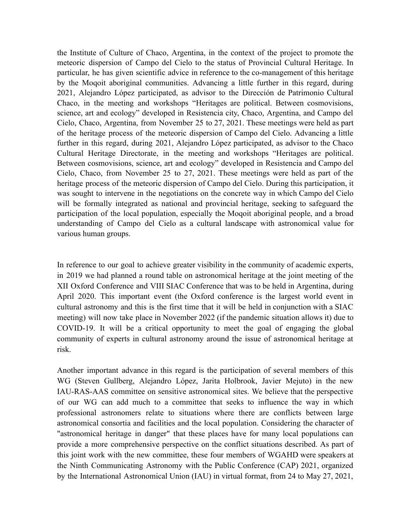the Institute of Culture of Chaco, Argentina, in the context of the project to promote the meteoric dispersion of Campo del Cielo to the status of Provincial Cultural Heritage. In particular, he has given scientific advice in reference to the co-management of this heritage by the Moqoit aboriginal communities. Advancing a little further in this regard, during 2021, Alejandro López participated, as advisor to the Dirección de Patrimonio Cultural Chaco, in the meeting and workshops "Heritages are political. Between cosmovisions, science, art and ecology" developed in Resistencia city, Chaco, Argentina, and Campo del Cielo, Chaco, Argentina, from November 25 to 27, 2021. These meetings were held as part of the heritage process of the meteoric dispersion of Campo del Cielo. Advancing a little further in this regard, during 2021, Alejandro López participated, as advisor to the Chaco Cultural Heritage Directorate, in the meeting and workshops "Heritages are political. Between cosmovisions, science, art and ecology" developed in Resistencia and Campo del Cielo, Chaco, from November 25 to 27, 2021. These meetings were held as part of the heritage process of the meteoric dispersion of Campo del Cielo. During this participation, it was sought to intervene in the negotiations on the concrete way in which Campo del Cielo will be formally integrated as national and provincial heritage, seeking to safeguard the participation of the local population, especially the Moqoit aboriginal people, and a broad understanding of Campo del Cielo as a cultural landscape with astronomical value for various human groups.

In reference to our goal to achieve greater visibility in the community of academic experts, in 2019 we had planned a round table on astronomical heritage at the joint meeting of the XII Oxford Conference and VIII SIAC Conference that was to be held in Argentina, during April 2020. This important event (the Oxford conference is the largest world event in cultural astronomy and this is the first time that it will be held in conjunction with a SIAC meeting) will now take place in November 2022 (if the pandemic situation allows it) due to COVID-19. It will be a critical opportunity to meet the goal of engaging the global community of experts in cultural astronomy around the issue of astronomical heritage at risk.

Another important advance in this regard is the participation of several members of this WG (Steven Gullberg, Alejandro López, Jarita Holbrook, Javier Mejuto) in the new IAU-RAS-AAS committee on sensitive astronomical sites. We believe that the perspective of our WG can add much to a committee that seeks to influence the way in which professional astronomers relate to situations where there are conflicts between large astronomical consortia and facilities and the local population. Considering the character of "astronomical heritage in danger" that these places have for many local populations can provide a more comprehensive perspective on the conflict situations described. As part of this joint work with the new committee, these four members of WGAHD were speakers at the Ninth Communicating Astronomy with the Public Conference (CAP) 2021, organized by the International Astronomical Union (IAU) in virtual format, from 24 to May 27, 2021,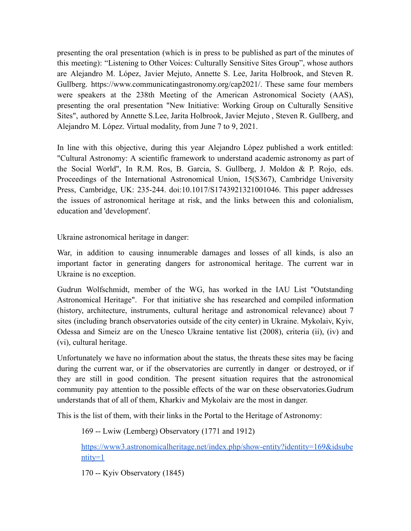presenting the oral presentation (which is in press to be published as part of the minutes of this meeting): "Listening to Other Voices: Culturally Sensitive Sites Group", whose authors are Alejandro M. López, Javier Mejuto, Annette S. Lee, Jarita Holbrook, and Steven R. Gullberg. https://www.communicatingastronomy.org/cap2021/. These same four members were speakers at the 238th Meeting of the American Astronomical Society (AAS), presenting the oral presentation "New Initiative: Working Group on Culturally Sensitive Sites", authored by Annette S.Lee, Jarita Holbrook, Javier Mejuto , Steven R. Gullberg, and Alejandro M. López. Virtual modality, from June 7 to 9, 2021.

In line with this objective, during this year Alejandro López published a work entitled: "Cultural Astronomy: A scientific framework to understand academic astronomy as part of the Social World", In R.M. Ros, B. Garcia, S. Gullberg, J. Moldon & P. Rojo, eds. Proceedings of the International Astronomical Union, 15(S367), Cambridge University Press, Cambridge, UK: 235-244. doi:10.1017/S1743921321001046. This paper addresses the issues of astronomical heritage at risk, and the links between this and colonialism, education and 'development'.

Ukraine astronomical heritage in danger:

War, in addition to causing innumerable damages and losses of all kinds, is also an important factor in generating dangers for astronomical heritage. The current war in Ukraine is no exception.

Gudrun Wolfschmidt, member of the WG, has worked in the IAU List "Outstanding Astronomical Heritage". For that initiative she has researched and compiled information (history, architecture, instruments, cultural heritage and astronomical relevance) about 7 sites (including branch observatories outside of the city center) in Ukraine. Mykolaiv, Kyiv, Odessa and Simeiz are on the Unesco Ukraine tentative list (2008), criteria (ii), (iv) and (vi), cultural heritage.

Unfortunately we have no information about the status, the threats these sites may be facing during the current war, or if the observatories are currently in danger or destroyed, or if they are still in good condition. The present situation requires that the astronomical community pay attention to the possible effects of the war on these observatories.Gudrum understands that of all of them, Kharkiv and Mykolaiv are the most in danger.

This is the list of them, with their links in the Portal to the Heritage of Astronomy:

169 -- Lwiw (Lemberg) Observatory (1771 and 1912)

[https://www3.astronomicalheritage.net/index.php/show-entity?identity=169&idsube](https://www3.astronomicalheritage.net/index.php/show-entity?identity=169&idsubentity=1)  $ntity=1$ 

170 -- Kyiv Observatory (1845)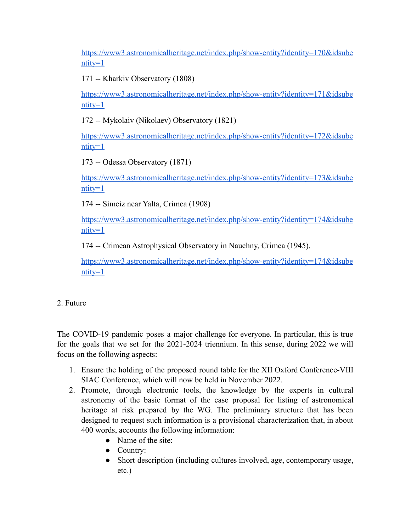[https://www3.astronomicalheritage.net/index.php/show-entity?identity=170&idsube](https://www3.astronomicalheritage.net/index.php/show-entity?identity=170&idsubentity=1)  $ntity=1$ 

171 -- Kharkiv Observatory (1808)

[https://www3.astronomicalheritage.net/index.php/show-entity?identity=171&idsube](https://www3.astronomicalheritage.net/index.php/show-entity?identity=171&idsubentity=1)  $ntity=1$ 

172 -- Mykolaiv (Nikolaev) Observatory (1821)

[https://www3.astronomicalheritage.net/index.php/show-entity?identity=172&idsube](https://www3.astronomicalheritage.net/index.php/show-entity?identity=172&idsubentity=1)  $nitv=1$ 

173 -- Odessa Observatory (1871)

[https://www3.astronomicalheritage.net/index.php/show-entity?identity=173&idsube](https://www3.astronomicalheritage.net/index.php/show-entity?identity=173&idsubentity=1) [ntity=1](https://www3.astronomicalheritage.net/index.php/show-entity?identity=173&idsubentity=1)

174 -- Simeiz near Yalta, Crimea (1908)

[https://www3.astronomicalheritage.net/index.php/show-entity?identity=174&idsube](https://www3.astronomicalheritage.net/index.php/show-entity?identity=174&idsubentity=1) [ntity=1](https://www3.astronomicalheritage.net/index.php/show-entity?identity=174&idsubentity=1)

174 -- Crimean Astrophysical Observatory in Nauchny, Crimea (1945).

[https://www3.astronomicalheritage.net/index.php/show-entity?identity=174&idsube](https://www3.astronomicalheritage.net/index.php/show-entity?identity=174&idsubentity=1)  $ntity=1$ 

# 2. Future

The COVID-19 pandemic poses a major challenge for everyone. In particular, this is true for the goals that we set for the 2021-2024 triennium. In this sense, during 2022 we will focus on the following aspects:

- 1. Ensure the holding of the proposed round table for the XII Oxford Conference-VIII SIAC Conference, which will now be held in November 2022.
- 2. Promote, through electronic tools, the knowledge by the experts in cultural astronomy of the basic format of the case proposal for listing of astronomical heritage at risk prepared by the WG. The preliminary structure that has been designed to request such information is a provisional characterization that, in about 400 words, accounts the following information:
	- Name of the site:
	- Country:
	- Short description (including cultures involved, age, contemporary usage, etc.)